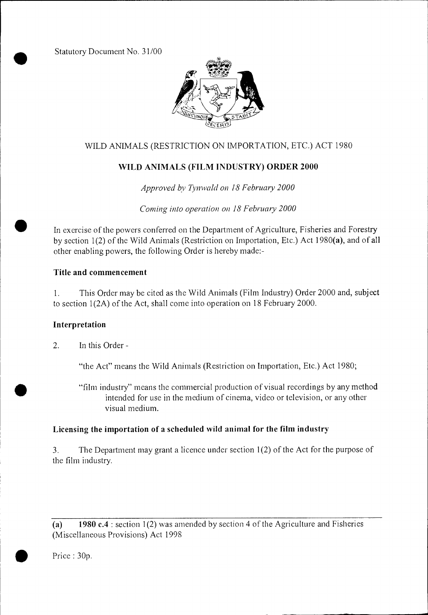Statutory Document No. 31/00



# WILD ANIMALS (RESTRICTION ON IMPORTATION, ETC.) ACT 1980

# WILD ANIMALS (FILM INDUSTRY) ORDER 2000

*Approved by Tynwald on 18 February 2000* 

*Coming into operation on 18 February 2000* 

In exercise of the powers conferred on the Department of Agriculture, Fisheries and Forestry by section 1(2) of the Wild Animals (Restriction on Importation, Etc.) Act 1980(a), and of all other enabling powers, the following Order is hereby made:-

### Title and commencement

1. This Order may be cited as the Wild Animals (Film Industry) Order 2000 and, subject to section 1(2A) of the Act, shall come into operation on 18 February 2000.

#### Interpretation

2. In this Order -

"the Act" means the Wild Animals (Restriction on Importation, Etc.) Act 1980;

"film industry" means the commercial production of visual recordings by any method intended for use in the medium of cinema, video or television, or any other visual medium.

# Licensing the importation of a scheduled wild animal for the film industry

3. The Department may grant a licence under section 1(2) of the Act for the purpose of the film industry.

(a) 1980 c.4 : section 1(2) was amended by section 4 of the Agriculture and Fisheries (Miscellaneous Provisions) Act 1998

Price : 30p.